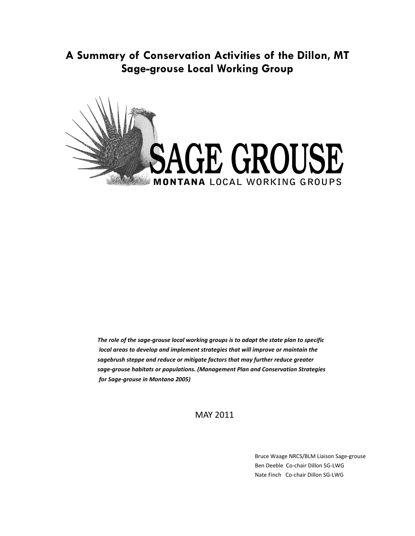**A Summary of Conservation Activities of the Dillon, MT Sage-grouse Local Working Group** 



*The role of the sage-grouse local working groups is to adapt the state plan to specific local areas to develop and implement strategies that will improve or maintain the sagebrush steppe and reduce or mitigate factors that may further reduce greater sage-grouse habitats or populations. (Management Plan and Conservation Strategies for Sage-grouse in Montana 2005)* 

MAY 2011

 Bruce Waage NRCS/BLM Liaison Sage-grouse Ben Deeble Co-chair Dillon SG-LWG Nate Finch Co-chair Dillon SG-LWG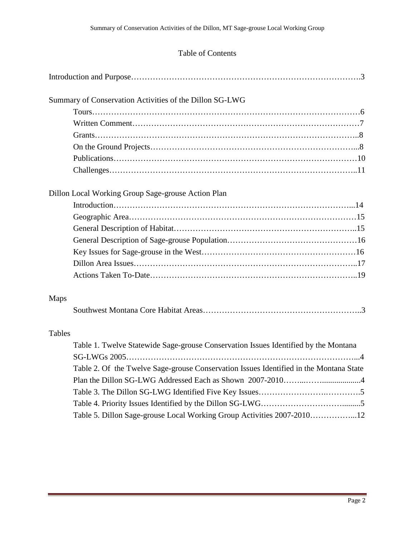# Table of Contents

| Summary of Conservation Activities of the Dillon SG-LWG                                |
|----------------------------------------------------------------------------------------|
|                                                                                        |
|                                                                                        |
|                                                                                        |
|                                                                                        |
|                                                                                        |
|                                                                                        |
| Dillon Local Working Group Sage-grouse Action Plan                                     |
|                                                                                        |
|                                                                                        |
|                                                                                        |
|                                                                                        |
|                                                                                        |
|                                                                                        |
|                                                                                        |
| Maps                                                                                   |
|                                                                                        |
| Tables                                                                                 |
| Table 1. Twelve Statewide Sage-grouse Conservation Issues Identified by the Montana    |
| Table 2. Of the Twelve Sage-grouse Conservation Issues Identified in the Montana State |
|                                                                                        |
|                                                                                        |
|                                                                                        |
| Table 5. Dillon Sage-grouse Local Working Group Activities 2007-201012                 |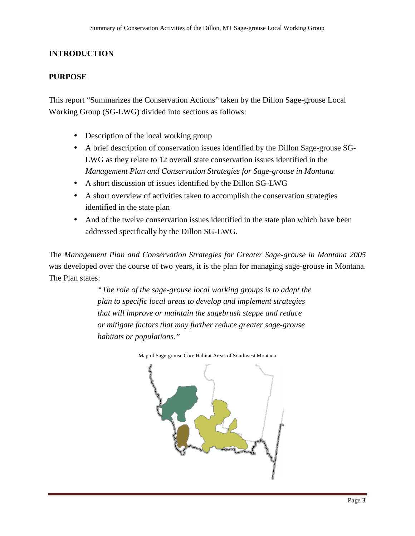# **INTRODUCTION**

### **PURPOSE**

This report "Summarizes the Conservation Actions" taken by the Dillon Sage-grouse Local Working Group (SG-LWG) divided into sections as follows:

- Description of the local working group
- A brief description of conservation issues identified by the Dillon Sage-grouse SG-LWG as they relate to 12 overall state conservation issues identified in the *Management Plan and Conservation Strategies for Sage-grouse in Montana*
- A short discussion of issues identified by the Dillon SG-LWG
- A short overview of activities taken to accomplish the conservation strategies identified in the state plan
- And of the twelve conservation issues identified in the state plan which have been addressed specifically by the Dillon SG-LWG.

The *Management Plan and Conservation Strategies for Greater Sage-grouse in Montana 2005* was developed over the course of two years, it is the plan for managing sage-grouse in Montana. The Plan states:

> *"The role of the sage-grouse local working groups is to adapt the plan to specific local areas to develop and implement strategies that will improve or maintain the sagebrush steppe and reduce or mitigate factors that may further reduce greater sage-grouse habitats or populations."*



Map of Sage-grouse Core Habitat Areas of Southwest Montana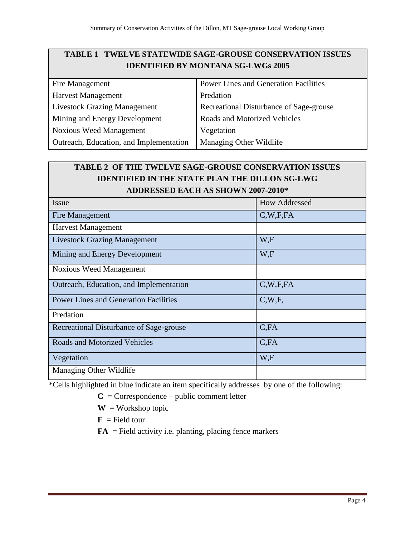# **TABLE 1 TWELVE STATEWIDE SAGE-GROUSE CONSERVATION ISSUES IDENTIFIED BY MONTANA SG-LWGs 2005**

| Fire Management                         | <b>Power Lines and Generation Facilities</b> |
|-----------------------------------------|----------------------------------------------|
| <b>Harvest Management</b>               | Predation                                    |
| <b>Livestock Grazing Management</b>     | Recreational Disturbance of Sage-grouse      |
| Mining and Energy Development           | Roads and Motorized Vehicles                 |
| <b>Noxious Weed Management</b>          | Vegetation                                   |
| Outreach, Education, and Implementation | Managing Other Wildlife                      |
|                                         |                                              |

# **TABLE 2 OF THE TWELVE SAGE-GROUSE CONSERVATION ISSUES IDENTIFIED IN THE STATE PLAN THE DILLON SG-LWG ADDRESSED EACH AS SHOWN 2007-2010\***

| <b>Issue</b>                                 | <b>How Addressed</b> |
|----------------------------------------------|----------------------|
| Fire Management                              | C,W,F,FA             |
| <b>Harvest Management</b>                    |                      |
| <b>Livestock Grazing Management</b>          | W,F                  |
| Mining and Energy Development                | W,F                  |
| <b>Noxious Weed Management</b>               |                      |
| Outreach, Education, and Implementation      | C,W,F,FA             |
| <b>Power Lines and Generation Facilities</b> | C,W,F,               |
| Predation                                    |                      |
| Recreational Disturbance of Sage-grouse      | C,FA                 |
| <b>Roads and Motorized Vehicles</b>          | C,FA                 |
| Vegetation                                   | W,F                  |
| Managing Other Wildlife                      |                      |

\*Cells highlighted in blue indicate an item specifically addresses by one of the following:

 $C =$  Correspondence – public comment letter

 $W = W$ orkshop topic

 $\mathbf{F}$  = Field tour

 $FA$  = Field activity i.e. planting, placing fence markers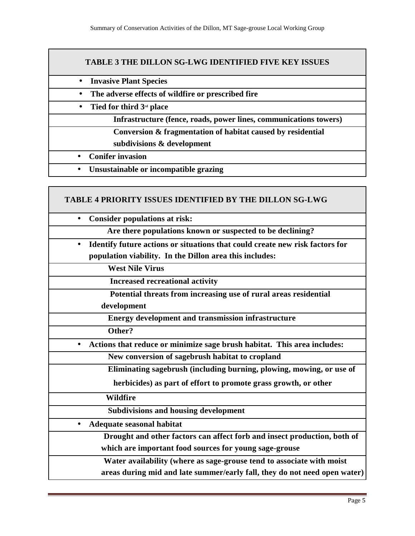### **TABLE 3 THE DILLON SG-LWG IDENTIFIED FIVE KEY ISSUES**

- **Invasive Plant Species**
- **The adverse effects of wildfire or prescribed fire**
- **Tied for third 3rd place**

**Infrastructure (fence, roads, power lines, communications towers)**

- **Conversion & fragmentation of habitat caused by residential**
- **subdivisions & development**
- **Conifer invasion**
- **Unsustainable or incompatible grazing**

#### **TABLE 4 PRIORITY ISSUES IDENTIFIED BY THE DILLON SG-LWG**

| <b>Consider populations at risk:</b>                                                      |
|-------------------------------------------------------------------------------------------|
| Are there populations known or suspected to be declining?                                 |
| Identify future actions or situations that could create new risk factors for<br>$\bullet$ |
| population viability. In the Dillon area this includes:                                   |
| <b>West Nile Virus</b>                                                                    |
| <b>Increased recreational activity</b>                                                    |
| Potential threats from increasing use of rural areas residential                          |
| development                                                                               |
| <b>Energy development and transmission infrastructure</b>                                 |
| Other?                                                                                    |
| Actions that reduce or minimize sage brush habitat. This area includes:                   |
| New conversion of sagebrush habitat to cropland                                           |
| Eliminating sagebrush (including burning, plowing, mowing, or use of                      |
| herbicides) as part of effort to promote grass growth, or other                           |
| <b>Wildfire</b>                                                                           |
| <b>Subdivisions and housing development</b>                                               |
| Adequate seasonal habitat                                                                 |
| Drought and other factors can affect forb and insect production, both of                  |
| which are important food sources for young sage-grouse                                    |
| Water availability (where as sage-grouse tend to associate with moist                     |
| areas during mid and late summer/early fall, they do not need open water)                 |
|                                                                                           |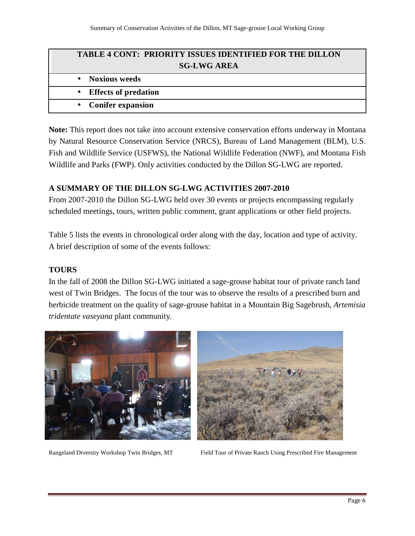| <b>TABLE 4 CONT: PRIORITY ISSUES IDENTIFIED FOR THE DILLON</b> |  |  |
|----------------------------------------------------------------|--|--|
| <b>SG-LWG AREA</b>                                             |  |  |
| • Noxious weeds                                                |  |  |
| • Effects of predation                                         |  |  |
| • Conifer expansion                                            |  |  |

**Note:** This report does not take into account extensive conservation efforts underway in Montana by Natural Resource Conservation Service (NRCS), Bureau of Land Management (BLM), U.S. Fish and Wildlife Service (USFWS), the National Wildlife Federation (NWF), and Montana Fish Wildlife and Parks (FWP). Only activities conducted by the Dillon SG-LWG are reported.

## **A SUMMARY OF THE DILLON SG-LWG ACTIVITIES 2007-2010**

From 2007-2010 the Dillon SG-LWG held over 30 events or projects encompassing regularly scheduled meetings, tours, written public comment, grant applications or other field projects.

Table 5 lists the events in chronological order along with the day, location and type of activity. A brief description of some of the events follows:

## **TOURS**

In the fall of 2008 the Dillon SG-LWG initiated a sage-grouse habitat tour of private ranch land west of Twin Bridges. The focus of the tour was to observe the results of a prescribed burn and herbicide treatment on the quality of sage-grouse habitat in a Mountain Big Sagebrush, *Artemisia tridentate vaseyana* plant community*.*





Rangeland Diversity Workshop Twin Bridges, MT Field Tour of Private Ranch Using Prescribed Fire Management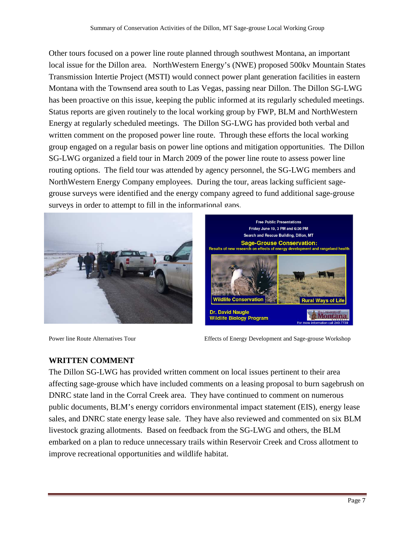Other tours focused on a power line route planned through southwest Montana, an important local issue for the Dillon area. NorthWestern Energy's (NWE) proposed 500kv Mountain States Transmission Intertie Project (MSTI) would connect power plant generation facilities in eastern Montana with the Townsend area south to Las Vegas, passing near Dillon. The Dillon SG-LWG has been proactive on this issue, keeping the public informed at its regularly scheduled meetings. Status reports are given routinely to the local working group by FWP, BLM and NorthWestern Energy at regularly scheduled meetings. The Dillon SG-LWG has provided both verbal and written comment on the proposed power line route. Through these efforts the local working group engaged on a regular basis on power line options and mitigation opportunities. The Dillon SG-LWG organized a field tour in March 2009 of the power line route to assess power line routing options. The field tour was attended by agency personnel, the SG-LWG members and NorthWestern Energy Company employees. During the tour, areas lacking sufficient sagegrouse surveys were identified and the energy company agreed to fund additional sage-grouse surveys in order to attempt to fill in the informational gaps.





Power line Route Alternatives Tour **Effects** of Energy Development and Sage-grouse Workshop

# **WRITTEN COMMENT**

The Dillon SG-LWG has provided written comment on local issues pertinent to their area affecting sage-grouse which have included comments on a leasing proposal to burn sagebrush on DNRC state land in the Corral Creek area. They have continued to comment on numerous public documents, BLM's energy corridors environmental impact statement (EIS), energy lease sales, and DNRC state energy lease sale. They have also reviewed and commented on six BLM livestock grazing allotments. Based on feedback from the SG-LWG and others, the BLM embarked on a plan to reduce unnecessary trails within Reservoir Creek and Cross allotment to improve recreational opportunities and wildlife habitat.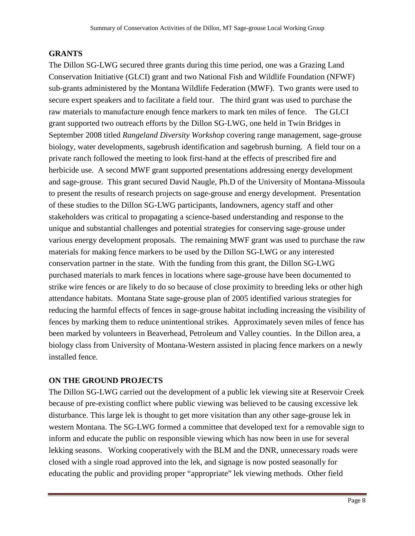# **GRANTS**

The Dillon SG-LWG secured three grants during this time period, one was a Grazing Land Conservation Initiative (GLCI) grant and two National Fish and Wildlife Foundation (NFWF) sub-grants administered by the Montana Wildlife Federation (MWF). Two grants were used to secure expert speakers and to facilitate a field tour. The third grant was used to purchase the raw materials to manufacture enough fence markers to mark ten miles of fence. The GLCI grant supported two outreach efforts by the Dillon SG-LWG, one held in Twin Bridges in September 2008 titled *Rangeland Diversity Workshop* covering range management, sage-grouse biology, water developments, sagebrush identification and sagebrush burning. A field tour on a private ranch followed the meeting to look first-hand at the effects of prescribed fire and herbicide use. A second MWF grant supported presentations addressing energy development and sage-grouse. This grant secured David Naugle, Ph.D of the University of Montana-Missoula to present the results of research projects on sage-grouse and energy development. Presentation of these studies to the Dillon SG-LWG participants, landowners, agency staff and other stakeholders was critical to propagating a science-based understanding and response to the unique and substantial challenges and potential strategies for conserving sage-grouse under various energy development proposals. The remaining MWF grant was used to purchase the raw materials for making fence markers to be used by the Dillon SG-LWG or any interested conservation partner in the state. With the funding from this grant, the Dillon SG-LWG purchased materials to mark fences in locations where sage-grouse have been documented to strike wire fences or are likely to do so because of close proximity to breeding leks or other high attendance habitats. Montana State sage-grouse plan of 2005 identified various strategies for reducing the harmful effects of fences in sage-grouse habitat including increasing the visibility of fences by marking them to reduce unintentional strikes. Approximately seven miles of fence has been marked by volunteers in Beaverhead, Petroleum and Valley counties. In the Dillon area, a biology class from University of Montana-Western assisted in placing fence markers on a newly installed fence.

# **ON THE GROUND PROJECTS**

The Dillon SG-LWG carried out the development of a public lek viewing site at Reservoir Creek because of pre-existing conflict where public viewing was believed to be causing excessive lek disturbance. This large lek is thought to get more visitation than any other sage-grouse lek in western Montana. The SG-LWG formed a committee that developed text for a removable sign to inform and educate the public on responsible viewing which has now been in use for several lekking seasons. Working cooperatively with the BLM and the DNR, unnecessary roads were closed with a single road approved into the lek, and signage is now posted seasonally for educating the public and providing proper "appropriate" lek viewing methods. Other field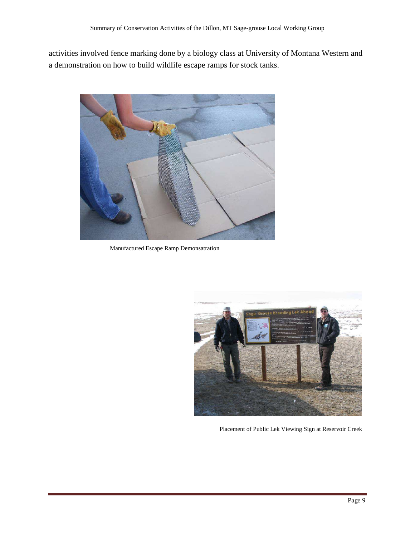activities involved fence marking done by a biology class at University of Montana Western and a demonstration on how to build wildlife escape ramps for stock tanks.



Manufactured Escape Ramp Demonsatration



Placement of Public Lek Viewing Sign at Reservoir Creek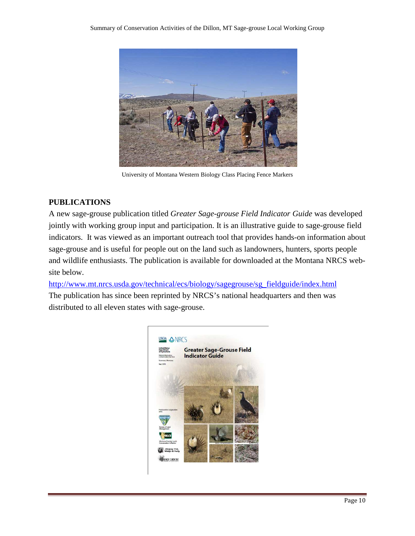

University of Montana Western Biology Class Placing Fence Markers

### **PUBLICATIONS**

A new sage-grouse publication titled *Greater Sage-grouse Field Indicator Guide* was developed jointly with working group input and participation. It is an illustrative guide to sage-grouse field indicators. It was viewed as an important outreach tool that provides hands-on information about sage-grouse and is useful for people out on the land such as landowners, hunters, sports people and wildlife enthusiasts. The publication is available for downloaded at the Montana NRCS website below.

http://www.mt.nrcs.usda.gov/technical/ecs/biology/sagegrouse/sg\_fieldguide/index.html The publication has since been reprinted by NRCS's national headquarters and then was distributed to all eleven states with sage-grouse.

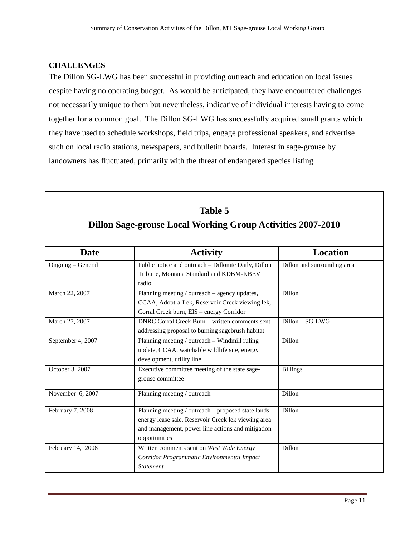## **CHALLENGES**

Г

The Dillon SG-LWG has been successful in providing outreach and education on local issues despite having no operating budget. As would be anticipated, they have encountered challenges not necessarily unique to them but nevertheless, indicative of individual interests having to come together for a common goal. The Dillon SG-LWG has successfully acquired small grants which they have used to schedule workshops, field trips, engage professional speakers, and advertise such on local radio stations, newspapers, and bulletin boards. Interest in sage-grouse by landowners has fluctuated, primarily with the threat of endangered species listing.

| <b>Table 5</b><br><b>Dillon Sage-grouse Local Working Group Activities 2007-2010</b> |                                                                                                                                                                                 |                             |  |
|--------------------------------------------------------------------------------------|---------------------------------------------------------------------------------------------------------------------------------------------------------------------------------|-----------------------------|--|
| <b>Date</b>                                                                          | <b>Activity</b>                                                                                                                                                                 | <b>Location</b>             |  |
| Ongoing - General                                                                    | Public notice and outreach - Dillonite Daily, Dillon<br>Tribune, Montana Standard and KDBM-KBEV<br>radio                                                                        | Dillon and surrounding area |  |
| March 22, 2007                                                                       | Planning meeting / outreach – agency updates,<br>CCAA, Adopt-a-Lek, Reservoir Creek viewing lek,<br>Corral Creek burn, EIS - energy Corridor                                    | Dillon                      |  |
| March 27, 2007                                                                       | <b>DNRC Corral Creek Burn – written comments sent</b><br>addressing proposal to burning sagebrush habitat                                                                       | $Dillon - SG-LWG$           |  |
| September 4, 2007                                                                    | Planning meeting / outreach – Windmill ruling<br>update, CCAA, watchable wildlife site, energy<br>development, utility line,                                                    | <b>Dillon</b>               |  |
| October 3, 2007                                                                      | Executive committee meeting of the state sage-<br>grouse committee                                                                                                              | <b>Billings</b>             |  |
| November 6, 2007                                                                     | Planning meeting / outreach                                                                                                                                                     | Dillon                      |  |
| February 7, 2008                                                                     | Planning meeting / outreach - proposed state lands<br>energy lease sale, Reservoir Creek lek viewing area<br>and management, power line actions and mitigation<br>opportunities | <b>Dillon</b>               |  |
| February 14, 2008                                                                    | Written comments sent on West Wide Energy<br>Corridor Programmatic Environmental Impact<br><b>Statement</b>                                                                     | <b>Dillon</b>               |  |

٦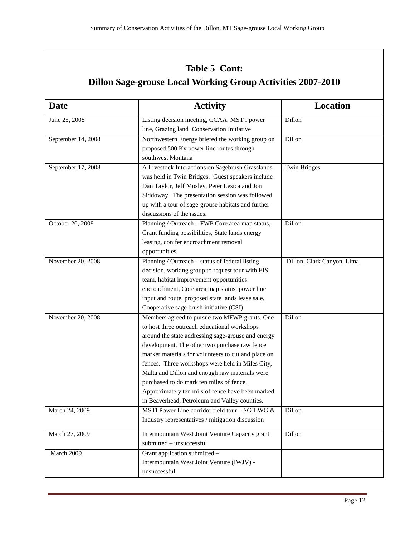# **Table 5 Cont:**

# **Dillon Sage-grouse Local Working Group Activities 2007-2010**

| <b>Date</b>        | <b>Activity</b>                                             | <b>Location</b>            |
|--------------------|-------------------------------------------------------------|----------------------------|
| June 25, 2008      | Listing decision meeting, CCAA, MST I power                 | Dillon                     |
|                    | line, Grazing land Conservation Initiative                  |                            |
| September 14, 2008 | Northwestern Energy briefed the working group on            | Dillon                     |
|                    | proposed 500 Kv power line routes through                   |                            |
|                    | southwest Montana                                           |                            |
| September 17, 2008 | A Livestock Interactions on Sagebrush Grasslands            | <b>Twin Bridges</b>        |
|                    | was held in Twin Bridges. Guest speakers include            |                            |
|                    | Dan Taylor, Jeff Mosley, Peter Lesica and Jon               |                            |
|                    | Siddoway. The presentation session was followed             |                            |
|                    | up with a tour of sage-grouse habitats and further          |                            |
|                    | discussions of the issues.                                  |                            |
| October 20, 2008   | Planning / Outreach - FWP Core area map status,             | Dillon                     |
|                    | Grant funding possibilities, State lands energy             |                            |
|                    | leasing, conifer encroachment removal                       |                            |
|                    | opportunities                                               |                            |
| November 20, 2008  | Planning / Outreach - status of federal listing             | Dillon, Clark Canyon, Lima |
|                    | decision, working group to request tour with EIS            |                            |
|                    | team, habitat improvement opportunities                     |                            |
|                    | encroachment, Core area map status, power line              |                            |
|                    | input and route, proposed state lands lease sale,           |                            |
|                    | Cooperative sage brush initiative (CSI)                     |                            |
| November 20, 2008  | Members agreed to pursue two MFWP grants. One               | Dillon                     |
|                    | to host three outreach educational workshops                |                            |
|                    | around the state addressing sage-grouse and energy          |                            |
|                    | development. The other two purchase raw fence               |                            |
|                    | marker materials for volunteers to cut and place on         |                            |
|                    | fences. Three workshops were held in Miles City,            |                            |
|                    | Malta and Dillon and enough raw materials were              |                            |
|                    | purchased to do mark ten miles of fence.                    |                            |
|                    | Approximately ten mils of fence have been marked            |                            |
|                    | in Beaverhead, Petroleum and Valley counties.               |                            |
| March 24, 2009     | MSTI Power Line corridor field tour $-\overline{SG-LWG \&}$ | Dillon                     |
|                    | Industry representatives / mitigation discussion            |                            |
| March 27, 2009     | Intermountain West Joint Venture Capacity grant             | Dillon                     |
|                    | submitted - unsuccessful                                    |                            |
| March 2009         | Grant application submitted -                               |                            |
|                    | Intermountain West Joint Venture (IWJV) -                   |                            |
|                    | unsuccessful                                                |                            |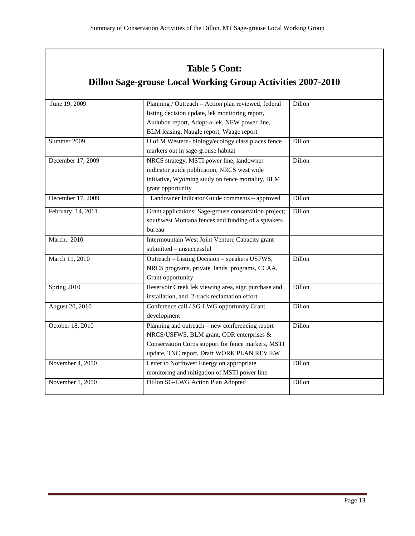# **Table 5 Cont:**

# **Dillon Sage-grouse Local Working Group Activities 2007-2010**

| June 19, 2009     | Planning / Outreach - Action plan reviewed, federal   | Dillon |
|-------------------|-------------------------------------------------------|--------|
|                   | listing decision update, lek monitoring report,       |        |
|                   | Audubon report, Adopt-a-lek, NEW power line,          |        |
|                   | BLM leasing, Naugle report, Waage report              |        |
| Summer 2009       | U of M Western-biology/ecology class places fence     | Dillon |
|                   | markers out in sage-grouse habitat                    |        |
| December 17, 2009 | NRCS strategy, MSTI power line, landowner             | Dillon |
|                   | indicator guide publication, NRCS west wide           |        |
|                   | initiative, Wyoming study on fence mortality, BLM     |        |
|                   | grant opportunity                                     |        |
| December 17, 2009 | Landowner Indicator Guide comments - approved         | Dillon |
| February 14, 2011 | Grant applications: Sage-grouse conservation project; | Dillon |
|                   | southwest Montana fences and funding of a speakers    |        |
|                   | bureau                                                |        |
| March, 2010       | Intermountain West Joint Venture Capacity grant       |        |
|                   | submitted - unsuccessful                              |        |
| March 11, 2010    | Outreach – Listing Decision – speakers USFWS,         | Dillon |
|                   | NRCS programs, private lands programs, CCAA,          |        |
|                   | Grant opportunity                                     |        |
| Spring 2010       | Reservoir Creek lek viewing area, sign purchase and   | Dillon |
|                   | installation, and 2-track reclamation effort          |        |
| August 20, 2010   | Conference call / SG-LWG opportunity Grant            | Dillon |
|                   | development                                           |        |
| October 18, 2010  | Planning and outreach – new conferencing report       | Dillon |
|                   | NRCS/USFWS, BLM grant, COR enterprises &              |        |
|                   | Conservation Corps support for fence markers, MSTI    |        |
|                   | update, TNC report, Draft WORK PLAN REVIEW            |        |
| November 4, 2010  | Letter to Northwest Energy on appropriate             | Dillon |
|                   | monitoring and mitigation of MSTI power line          |        |
| November 1, 2010  | Dillon SG-LWG Action Plan Adopted                     | Dillon |
|                   |                                                       |        |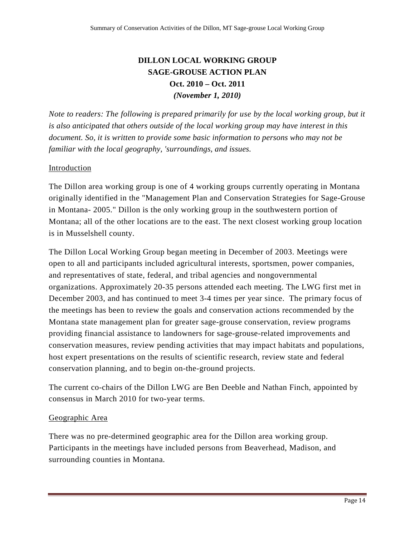# **DILLON LOCAL WORKING GROUP SAGE-GROUSE ACTION PLAN Oct. 2010 – Oct. 2011**  *(November 1, 2010)*

*Note to readers: The following is prepared primarily for use by the local working group, but it is also anticipated that others outside of the local working group may have interest in this document. So, it is written to provide some basic information to persons who may not be familiar with the local geography, 'surroundings, and issues.* 

## Introduction

The Dillon area working group is one of 4 working groups currently operating in Montana originally identified in the "Management Plan and Conservation Strategies for Sage-Grouse in Montana- 2005." Dillon is the only working group in the southwestern portion of Montana; all of the other locations are to the east. The next closest working group location is in Musselshell county.

The Dillon Local Working Group began meeting in December of 2003. Meetings were open to all and participants included agricultural interests, sportsmen, power companies, and representatives of state, federal, and tribal agencies and nongovernmental organizations. Approximately 20-35 persons attended each meeting. The LWG first met in December 2003, and has continued to meet 3-4 times per year since. The primary focus of the meetings has been to review the goals and conservation actions recommended by the Montana state management plan for greater sage-grouse conservation, review programs providing financial assistance to landowners for sage-grouse-related improvements and conservation measures, review pending activities that may impact habitats and populations, host expert presentations on the results of scientific research, review state and federal conservation planning, and to begin on-the-ground projects.

The current co-chairs of the Dillon LWG are Ben Deeble and Nathan Finch, appointed by consensus in March 2010 for two-year terms.

### Geographic Area

There was no pre-determined geographic area for the Dillon area working group. Participants in the meetings have included persons from Beaverhead, Madison, and surrounding counties in Montana.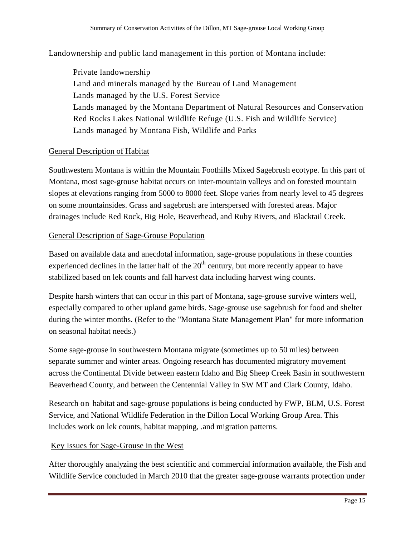Landownership and public land management in this portion of Montana include:

 Private landownership Land and minerals managed by the Bureau of Land Management Lands managed by the U.S. Forest Service Lands managed by the Montana Department of Natural Resources and Conservation Red Rocks Lakes National Wildlife Refuge (U.S. Fish and Wildlife Service) Lands managed by Montana Fish, Wildlife and Parks

### General Description of Habitat

Southwestern Montana is within the Mountain Foothills Mixed Sagebrush ecotype. In this part of Montana, most sage-grouse habitat occurs on inter-mountain valleys and on forested mountain slopes at elevations ranging from 5000 to 8000 feet. Slope varies from nearly level to 45 degrees on some mountainsides. Grass and sagebrush are interspersed with forested areas. Major drainages include Red Rock, Big Hole, Beaverhead, and Ruby Rivers, and Blacktail Creek.

### General Description of Sage-Grouse Population

Based on available data and anecdotal information, sage-grouse populations in these counties experienced declines in the latter half of the  $20<sup>th</sup>$  century, but more recently appear to have stabilized based on lek counts and fall harvest data including harvest wing counts.

Despite harsh winters that can occur in this part of Montana, sage-grouse survive winters well, especially compared to other upland game birds. Sage-grouse use sagebrush for food and shelter during the winter months. (Refer to the "Montana State Management Plan" for more information on seasonal habitat needs.)

Some sage-grouse in southwestern Montana migrate (sometimes up to 50 miles) between separate summer and winter areas. Ongoing research has documented migratory movement across the Continental Divide between eastern Idaho and Big Sheep Creek Basin in southwestern Beaverhead County, and between the Centennial Valley in SW MT and Clark County, Idaho.

Research on habitat and sage-grouse populations is being conducted by FWP, BLM, U.S. Forest Service, and National Wildlife Federation in the Dillon Local Working Group Area. This includes work on lek counts, habitat mapping, .and migration patterns.

### Key Issues for Sage-Grouse in the West

After thoroughly analyzing the best scientific and commercial information available, the Fish and Wildlife Service concluded in March 2010 that the greater sage-grouse warrants protection under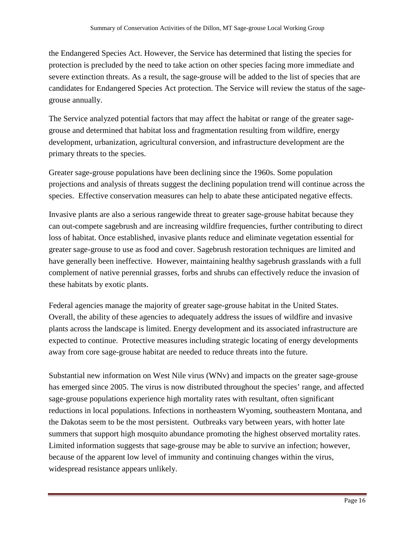the Endangered Species Act. However, the Service has determined that listing the species for protection is precluded by the need to take action on other species facing more immediate and severe extinction threats. As a result, the sage-grouse will be added to the list of species that are candidates for Endangered Species Act protection. The Service will review the status of the sagegrouse annually.

The Service analyzed potential factors that may affect the habitat or range of the greater sagegrouse and determined that habitat loss and fragmentation resulting from wildfire, energy development, urbanization, agricultural conversion, and infrastructure development are the primary threats to the species.

Greater sage-grouse populations have been declining since the 1960s. Some population projections and analysis of threats suggest the declining population trend will continue across the species. Effective conservation measures can help to abate these anticipated negative effects.

Invasive plants are also a serious rangewide threat to greater sage-grouse habitat because they can out-compete sagebrush and are increasing wildfire frequencies, further contributing to direct loss of habitat. Once established, invasive plants reduce and eliminate vegetation essential for greater sage-grouse to use as food and cover. Sagebrush restoration techniques are limited and have generally been ineffective. However, maintaining healthy sagebrush grasslands with a full complement of native perennial grasses, forbs and shrubs can effectively reduce the invasion of these habitats by exotic plants.

Federal agencies manage the majority of greater sage-grouse habitat in the United States. Overall, the ability of these agencies to adequately address the issues of wildfire and invasive plants across the landscape is limited. Energy development and its associated infrastructure are expected to continue. Protective measures including strategic locating of energy developments away from core sage-grouse habitat are needed to reduce threats into the future.

Substantial new information on West Nile virus (WNv) and impacts on the greater sage-grouse has emerged since 2005. The virus is now distributed throughout the species' range, and affected sage-grouse populations experience high mortality rates with resultant, often significant reductions in local populations. Infections in northeastern Wyoming, southeastern Montana, and the Dakotas seem to be the most persistent. Outbreaks vary between years, with hotter late summers that support high mosquito abundance promoting the highest observed mortality rates. Limited information suggests that sage-grouse may be able to survive an infection; however, because of the apparent low level of immunity and continuing changes within the virus, widespread resistance appears unlikely.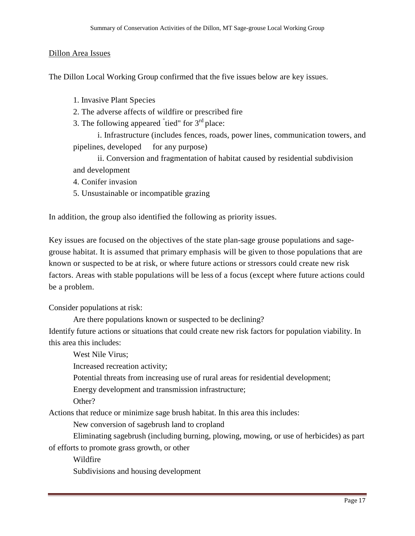#### Dillon Area Issues

The Dillon Local Working Group confirmed that the five issues below are key issues.

- 1. Invasive Plant Species
- 2. The adverse affects of wildfire or prescribed fire
- 3. The following appeared  $\overline{\phantom{a}}$  tied" for  $3^{\text{rd}}$  place:

 i. Infrastructure (includes fences, roads, power lines, communication towers, and pipelines, developed for any purpose)

 ii. Conversion and fragmentation of habitat caused by residential subdivision and development

- 4. Conifer invasion
- 5. Unsustainable or incompatible grazing

In addition, the group also identified the following as priority issues.

Key issues are focused on the objectives of the state plan-sage grouse populations and sagegrouse habitat. It is assumed that primary emphasis will be given to those populations that are known or suspected to be at risk, or where future actions or stressors could create new risk factors. Areas with stable populations will be less of a focus (except where future actions could be a problem.

Consider populations at risk:

Are there populations known or suspected to be declining? Identify future actions or situations that could create new risk factors for population viability. In this area this includes:

West Nile Virus;

Increased recreation activity;

Potential threats from increasing use of rural areas for residential development;

Energy development and transmission infrastructure;

Other?

Actions that reduce or minimize sage brush habitat. In this area this includes:

New conversion of sagebrush land to cropland

 Eliminating sagebrush (including burning, plowing, mowing, or use of herbicides) as part of efforts to promote grass growth, or other

Wildfire

Subdivisions and housing development